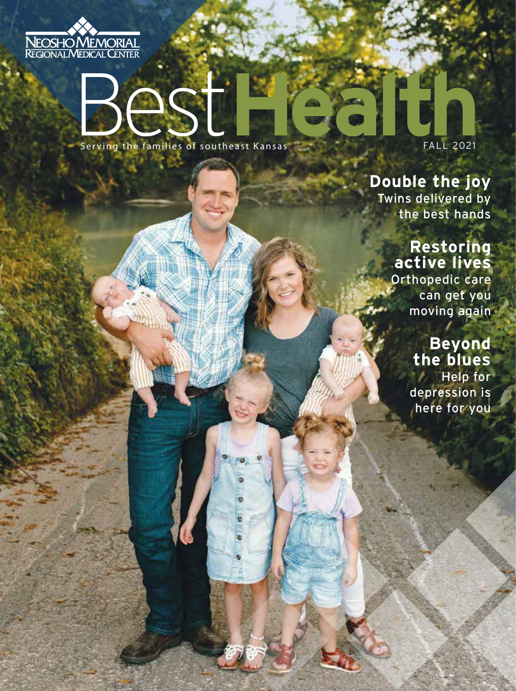

# Best Health New York Serving the families of southeast Kansas

FALL 2021

### **Double the joy** Twins delivered by

the best hands

### **Restoring active lives**

Orthopedic care can get you moving again

# **Beyond the blues**

Help for depression is here for you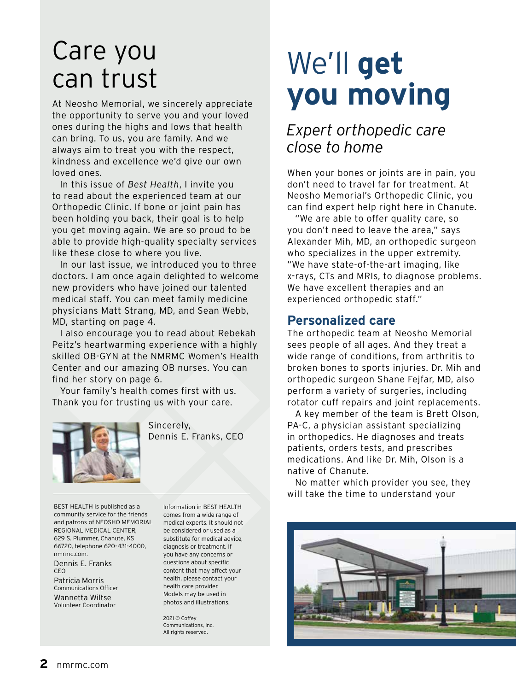# Care you can trust

At Neosho Memorial, we sincerely appreciate the opportunity to serve you and your loved ones during the highs and lows that health can bring. To us, you are family. And we always aim to treat you with the respect, kindness and excellence we'd give our own loved ones.

In this issue of *Best Health*, I invite you to read about the experienced team at our Orthopedic Clinic. If bone or joint pain has been holding you back, their goal is to help you get moving again. We are so proud to be able to provide high-quality specialty services like these close to where you live.

In our last issue, we introduced you to three doctors. I am once again delighted to welcome new providers who have joined our talented medical staff. You can meet family medicine physicians Matt Strang, MD, and Sean Webb, MD, starting on page 4.

I also encourage you to read about Rebekah Peitz's heartwarming experience with a highly skilled OB-GYN at the NMRMC Women's Health Center and our amazing OB nurses. You can find her story on page 6.

Your family's health comes first with us. Thank you for trusting us with your care.



Sincerely, Dennis E. Franks, CEO

BEST HEALTH is published as a community service for the friends and patrons of NEOSHO MEMORIAL REGIONAL MEDICAL CENTER, 629 S. Plummer, Chanute, KS 66720, telephone 620-431-4000, nmrmc.com.

Dennis E. Franks CEO

Patricia Morris Communications Officer Wannetta Wiltse Volunteer Coordinator

Information in BEST HEALTH comes from a wide range of medical experts. It should not be considered or used as a substitute for medical advice, diagnosis or treatment. If you have any concerns or questions about specific content that may affect your health, please contact your health care provider. Models may be used in photos and illustrations.

2021 © Coffey Communications, Inc. All rights reserved.

# We'll **get you moving**

## *Expert orthopedic care close to home*

When your bones or joints are in pain, you don't need to travel far for treatment. At Neosho Memorial's Orthopedic Clinic, you can find expert help right here in Chanute.

"We are able to offer quality care, so you don't need to leave the area," says Alexander Mih, MD, an orthopedic surgeon who specializes in the upper extremity. "We have state-of-the-art imaging, like x-rays, CTs and MRIs, to diagnose problems. We have excellent therapies and an experienced orthopedic staff."

### **Personalized care**

The orthopedic team at Neosho Memorial sees people of all ages. And they treat a wide range of conditions, from arthritis to broken bones to sports injuries. Dr. Mih and orthopedic surgeon Shane Fejfar, MD, also perform a variety of surgeries, including rotator cuff repairs and joint replacements.

A key member of the team is Brett Olson, PA-C, a physician assistant specializing in orthopedics. He diagnoses and treats patients, orders tests, and prescribes medications. And like Dr. Mih, Olson is a native of Chanute.

No matter which provider you see, they will take the time to understand your

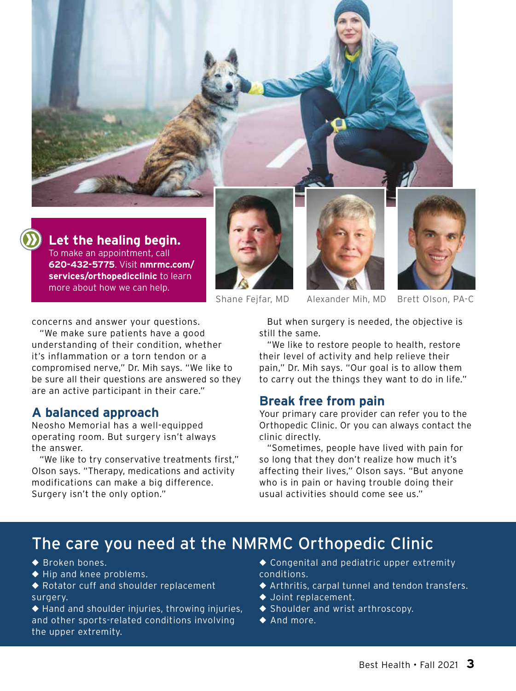

**Let the healing begin.** To make an appointment, call **620-432-5775**. Visit **nmrmc.com/ services/orthopedicclinic** to learn more about how we can help.







Shane Fejfar, MD Alexander Mih, MD Brett Olson, PA-C

concerns and answer your questions.

"We make sure patients have a good understanding of their condition, whether it's inflammation or a torn tendon or a compromised nerve," Dr. Mih says. "We like to be sure all their questions are answered so they are an active participant in their care."

### **A balanced approach**

Neosho Memorial has a well-equipped operating room. But surgery isn't always the answer.

"We like to try conservative treatments first," Olson says. "Therapy, medications and activity modifications can make a big difference. Surgery isn't the only option."

But when surgery is needed, the objective is still the same.

"We like to restore people to health, restore their level of activity and help relieve their pain," Dr. Mih says. "Our goal is to allow them to carry out the things they want to do in life."

#### **Break free from pain**

Your primary care provider can refer you to the Orthopedic Clinic. Or you can always contact the clinic directly.

"Sometimes, people have lived with pain for so long that they don't realize how much it's affecting their lives," Olson says. "But anyone who is in pain or having trouble doing their usual activities should come see us."

# The care you need at the NMRMC Orthopedic Clinic

- ◆ Broken bones.
- ◆ **Hip and knee problems.**
- ◆ Rotator cuff and shoulder replacement surgery.
- ◆ Hand and shoulder injuries, throwing injuries, and other sports-related conditions involving the upper extremity.
- ◆ Congenital and pediatric upper extremity conditions.
- ◆ Arthritis, carpal tunnel and tendon transfers.
- ◆ Joint replacement.
- ◆ **Shoulder and wrist arthroscopy.**
- ◆ And more.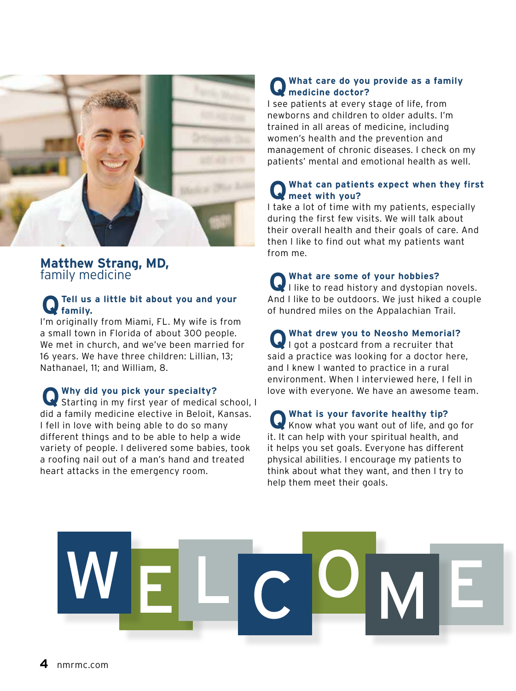

#### **Matthew Strang, MD,**  family medicine

#### **Q Tell us a little bit about you and your family.**

I'm originally from Miami, FL. My wife is from a small town in Florida of about 300 people. We met in church, and we've been married for 16 years. We have three children: Lillian, 13; Nathanael, 11; and William, 8.

**Q Why did you pick your specialty?**  Starting in my first year of medical school, I did a family medicine elective in Beloit, Kansas. I fell in love with being able to do so many different things and to be able to help a wide variety of people. I delivered some babies, took a roofing nail out of a man's hand and treated heart attacks in the emergency room.

#### **QWhat care do you provide as a family medicine doctor?**

I see patients at every stage of life, from newborns and children to older adults. I'm trained in all areas of medicine, including women's health and the prevention and management of chronic diseases. I check on my patients' mental and emotional health as well.

#### **Q What can patients expect when they first meet with you?**

I take a lot of time with my patients, especially during the first few visits. We will talk about their overall health and their goals of care. And then I like to find out what my patients want from me.

**Q What are some of your hobbies?** I like to read history and dystopian novels. And I like to be outdoors. We just hiked a couple of hundred miles on the Appalachian Trail.

**Q What drew you to Neosho Memorial?** I got a postcard from a recruiter that said a practice was looking for a doctor here, and I knew I wanted to practice in a rural environment. When I interviewed here, I fell in love with everyone. We have an awesome team.

**Q** What is your favorite healthy tip?<br>Know what you want out of life, and go for it. It can help with your spiritual health, and it helps you set goals. Everyone has different physical abilities. I encourage my patients to think about what they want, and then I try to help them meet their goals.

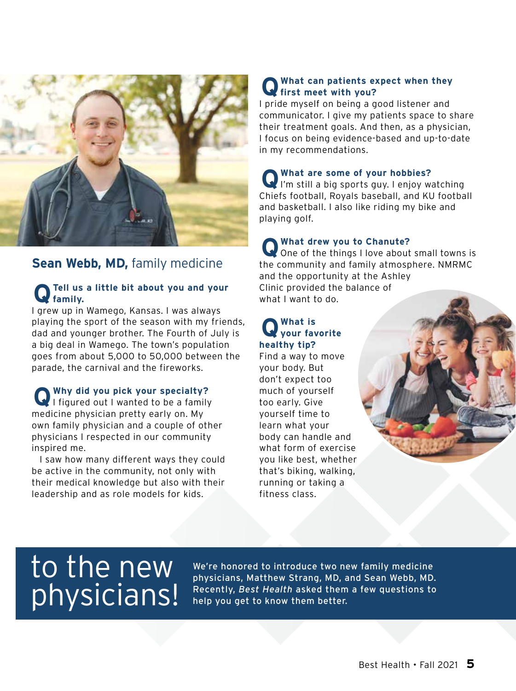

### **Sean Webb, MD,** family medicine

#### **Q Tell us a little bit about you and your family.**

I grew up in Wamego, Kansas. I was always playing the sport of the season with my friends, dad and younger brother. The Fourth of July is a big deal in Wamego. The town's population goes from about 5,000 to 50,000 between the parade, the carnival and the fireworks.

**Q Why did you pick your specialty?**  I figured out I wanted to be a family medicine physician pretty early on. My own family physician and a couple of other physicians I respected in our community inspired me.

I saw how many different ways they could be active in the community, not only with their medical knowledge but also with their leadership and as role models for kids.

#### **Q What can patients expect when they first meet with you?**

I pride myself on being a good listener and communicator. I give my patients space to share their treatment goals. And then, as a physician, I focus on being evidence-based and up-to-date in my recommendations.

**Q What are some of your hobbies?** I'm still a big sports guy. I enjoy watching Chiefs football, Royals baseball, and KU football and basketball. I also like riding my bike and playing golf.

**Q** What drew you to Chanute?<br>One of the things I love about small towns is the community and family atmosphere. NMRMC and the opportunity at the Ashley Clinic provided the balance of what I want to do.

## **Q What is your favorite healthy tip?**

Find a way to move your body. But don't expect too much of yourself too early. Give yourself time to learn what your body can handle and what form of exercise you like best, whether that's biking, walking, running or taking a fitness class.

# to the new physicians!

We're honored to introduce two new family medicine physicians, Matthew Strang, MD, and Sean Webb, MD. Recently, *Best Health* asked them a few questions to help you get to know them better.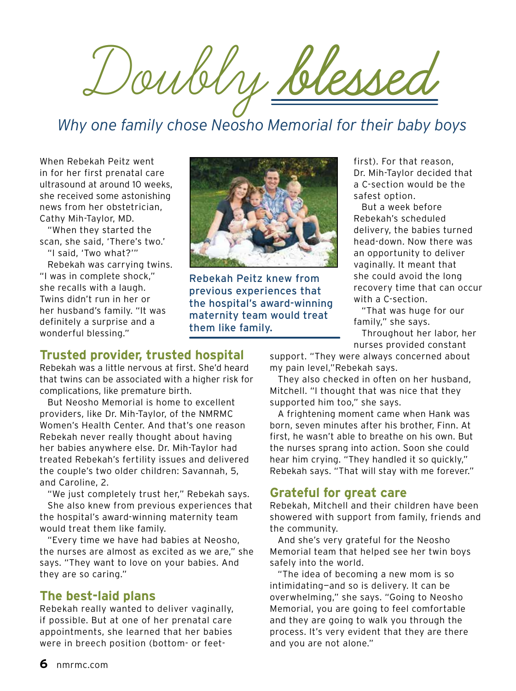Doubly **blessed**

# *Why one family chose Neosho Memorial for their baby boys*

When Rebekah Peitz went in for her first prenatal care ultrasound at around 10 weeks, she received some astonishing news from her obstetrician, Cathy Mih-Taylor, MD.

"When they started the scan, she said, 'There's two.' "I said, 'Two what?'"

Rebekah was carrying twins. "I was in complete shock," she recalls with a laugh. Twins didn't run in her or her husband's family. "It was definitely a surprise and a wonderful blessing."



Rebekah Peitz knew from previous experiences that the hospital's award-winning maternity team would treat them like family.

first). For that reason, Dr. Mih-Taylor decided that a C-section would be the safest option.

But a week before Rebekah's scheduled delivery, the babies turned head-down. Now there was an opportunity to deliver vaginally. It meant that she could avoid the long recovery time that can occur with a C-section.

"That was huge for our family," she says.

Throughout her labor, her nurses provided constant

#### **Trusted provider, trusted hospital**

Rebekah was a little nervous at first. She'd heard that twins can be associated with a higher risk for complications, like premature birth.

But Neosho Memorial is home to excellent providers, like Dr. Mih-Taylor, of the NMRMC Women's Health Center. And that's one reason Rebekah never really thought about having her babies anywhere else. Dr. Mih-Taylor had treated Rebekah's fertility issues and delivered the couple's two older children: Savannah, 5, and Caroline, 2.

"We just completely trust her," Rebekah says. She also knew from previous experiences that the hospital's award-winning maternity team would treat them like family.

"Every time we have had babies at Neosho, the nurses are almost as excited as we are," she says. "They want to love on your babies. And they are so caring."

### **The best-laid plans**

Rebekah really wanted to deliver vaginally, if possible. But at one of her prenatal care appointments, she learned that her babies were in breech position (bottom- or feetsupport. "They were always concerned about my pain level,"Rebekah says.

They also checked in often on her husband, Mitchell. "I thought that was nice that they supported him too," she says.

A frightening moment came when Hank was born, seven minutes after his brother, Finn. At first, he wasn't able to breathe on his own. But the nurses sprang into action. Soon she could hear him crying. "They handled it so quickly," Rebekah says. "That will stay with me forever."

### **Grateful for great care**

Rebekah, Mitchell and their children have been showered with support from family, friends and the community.

And she's very grateful for the Neosho Memorial team that helped see her twin boys safely into the world.

"The idea of becoming a new mom is so intimidating—and so is delivery. It can be overwhelming," she says. "Going to Neosho Memorial, you are going to feel comfortable and they are going to walk you through the process. It's very evident that they are there and you are not alone."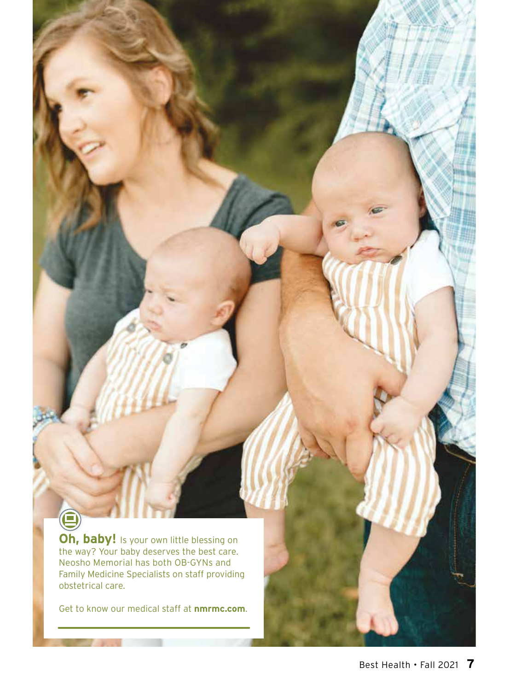